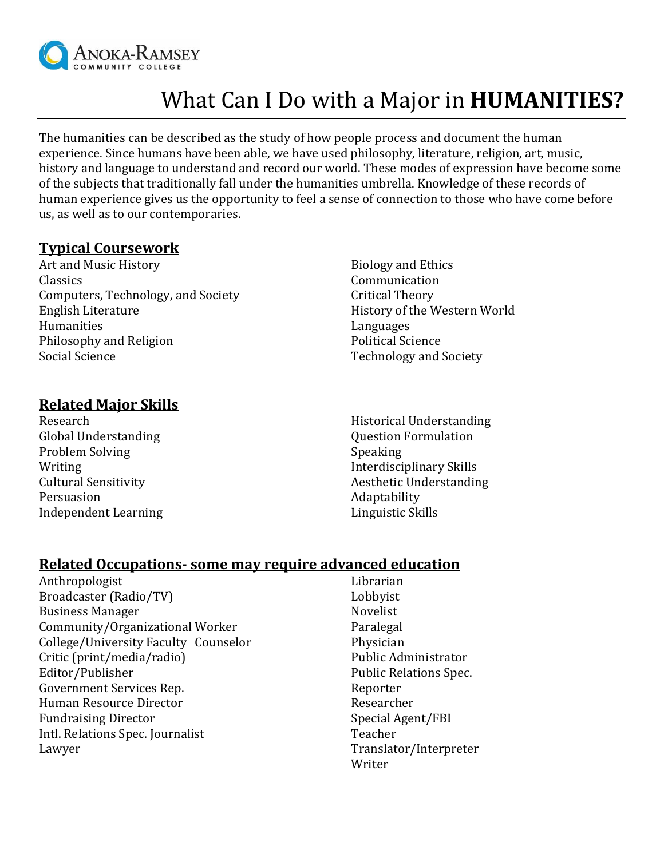

# What Can I Do with a Major in **HUMANITIES?**

The humanities can be described as the study of how people process and document the human experience. Since humans have been able, we have used philosophy, literature, religion, art, music, history and language to understand and record our world. These modes of expression have become some of the subjects that traditionally fall under the humanities umbrella. Knowledge of these records of human experience gives us the opportunity to feel a sense of connection to those who have come before us, as well as to our contemporaries.

#### **Typical Coursework**

- Art and Music History **Biology** and Ethics Classics Communication Computers, Technology, and Society **Critical Theory** Critical Theory English Literature **History of the Western World** Humanities Languages Philosophy and Religion **Philosophy and Religion** Political Science Social Science Technology and Society
	-

### **Related Major Skills**

Research Global Understanding Problem Solving Writing Cultural Sensitivity Persuasion Independent Learning Historical Understanding Question Formulation Speaking Interdisciplinary Skills Aesthetic Understanding Adaptability Linguistic Skills

#### **Related Occupations- some may require advanced education**

Anthropologist Broadcaster (Radio/TV) Business Manager Community/Organizational Worker College/University Faculty Counselor Critic (print/media/radio) Editor/Publisher Government Services Rep. Human Resource Director Fundraising Director Intl. Relations Spec. Journalist Lawyer

Librarian Lobbyist Novelist Paralegal Physician Public Administrator Public Relations Spec. Reporter Researcher Special Agent/FBI Teacher Translator/Interpreter Writer